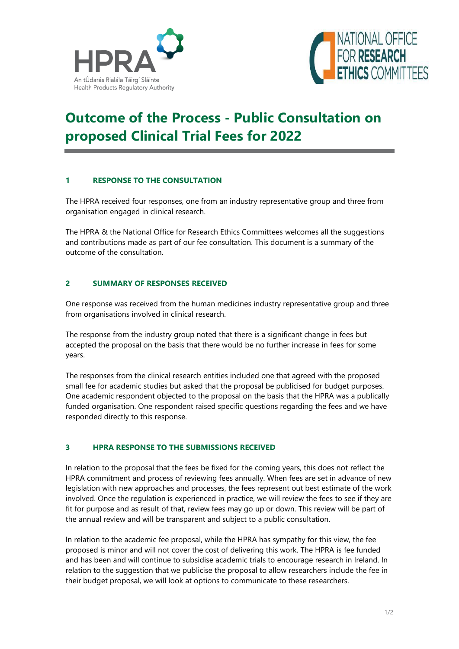



# **Outcome of the Process - Public Consultation on proposed Clinical Trial Fees for 2022**

# **1 RESPONSE TO THE CONSULTATION**

The HPRA received four responses, one from an industry representative group and three from organisation engaged in clinical research.

The HPRA & the National Office for Research Ethics Committees welcomes all the suggestions and contributions made as part of our fee consultation. This document is a summary of the outcome of the consultation.

### **2 SUMMARY OF RESPONSES RECEIVED**

One response was received from the human medicines industry representative group and three from organisations involved in clinical research.

The response from the industry group noted that there is a significant change in fees but accepted the proposal on the basis that there would be no further increase in fees for some years.

The responses from the clinical research entities included one that agreed with the proposed small fee for academic studies but asked that the proposal be publicised for budget purposes. One academic respondent objected to the proposal on the basis that the HPRA was a publically funded organisation. One respondent raised specific questions regarding the fees and we have responded directly to this response.

# **3 HPRA RESPONSE TO THE SUBMISSIONS RECEIVED**

In relation to the proposal that the fees be fixed for the coming years, this does not reflect the HPRA commitment and process of reviewing fees annually. When fees are set in advance of new legislation with new approaches and processes, the fees represent out best estimate of the work involved. Once the regulation is experienced in practice, we will review the fees to see if they are fit for purpose and as result of that, review fees may go up or down. This review will be part of the annual review and will be transparent and subject to a public consultation.

In relation to the academic fee proposal, while the HPRA has sympathy for this view, the fee proposed is minor and will not cover the cost of delivering this work. The HPRA is fee funded and has been and will continue to subsidise academic trials to encourage research in Ireland. In relation to the suggestion that we publicise the proposal to allow researchers include the fee in their budget proposal, we will look at options to communicate to these researchers.